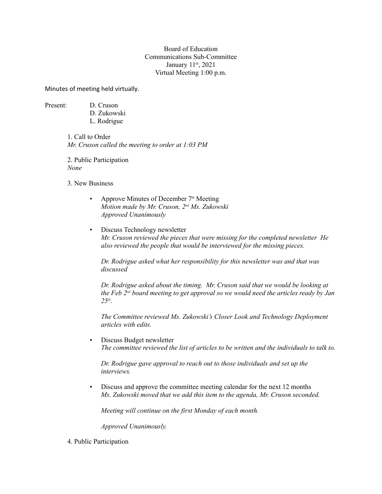Board of Education Communications Sub-Committee January 11<sup>th</sup>, 2021 Virtual Meeting 1:00 p.m.

Minutes of meeting held virtually.

Present: D. Cruson

D. Zukowski L. Rodrigue

1. Call to Order *Mr. Cruson called the meeting to order at 1:03 PM*

2. Public Participation *None*

3. New Business

- Approve Minutes of December  $7<sup>th</sup>$  Meeting *Motion made by Mr. Cruson, 2nd Ms. Zukowski Approved Unanimously*
- Discuss Technology newsletter *Mr. Cruson reviewed the pieces that were missing for the completed newsletter He also reviewed the people that would be interviewed for the missing pieces.*

*Dr. Rodrigue asked what her responsibility for this newsletter was and that was discussed*

*Dr. Rodrigue asked about the timing. Mr. Cruson said that we would be looking at the Feb 2nd board meeting to get approval so we would need the articles ready by Jan*   $25<sup>th</sup>$ . *.*

*The Committee reviewed Ms. Zukowski's Closer Look and Technology Deployment articles with edits.*

• Discuss Budget newsletter *The committee reviewed the list of articles to be written and the individuals to talk to.* 

*Dr. Rodrigue gave approval to reach out to those individuals and set up the interviews.*

• Discuss and approve the committee meeting calendar for the next 12 months *Ms. Zukowski moved that we add this item to the agenda, Mr. Cruson seconded.*

*Meeting will continue on the first Monday of each month.*

*Approved Unanimously.*

4. Public Participation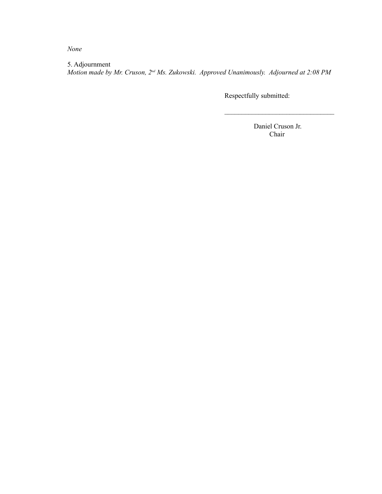*None*

5. Adjournment *Motion made by Mr. Cruson, 2nd Ms. Zukowski. Approved Unanimously. Adjourned at 2:08 PM*

Respectfully submitted:

 Daniel Cruson Jr. Chair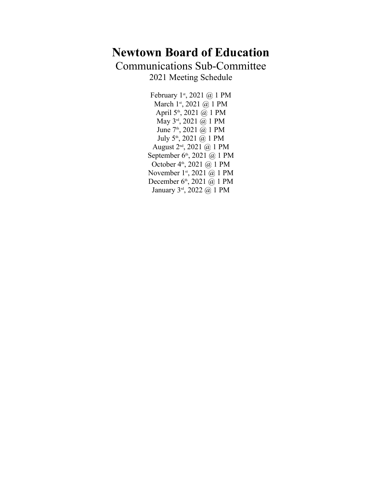# **Newtown Board of Education**

Communications Sub-Committee

2021 Meeting Schedule

February 1<sup>st</sup>, 2021 @ 1 PM March 1<sup>st</sup>, 2021 @ 1 PM April  $5<sup>th</sup>$ , 2021  $\overset{\sim}{\omega}$  1 PM May  $3^{rd}$ , 2021 @ 1 PM June 7<sup>th</sup>, 2021 @ 1 PM July  $5^{\text{th}}$ , 2021  $\overset{\sim}{\omega}$  1 PM August  $2^{nd}$ , 2021 @ 1 PM September 6<sup>th</sup>, 2021 @ 1 PM October  $4<sup>th</sup>$ , 2021  $\omega$  1 PM November 1<sup>st</sup>, 2021 @ 1 PM December 6<sup>th</sup>, 2021 @ 1 PM January 3rd, 2022 @ 1 PM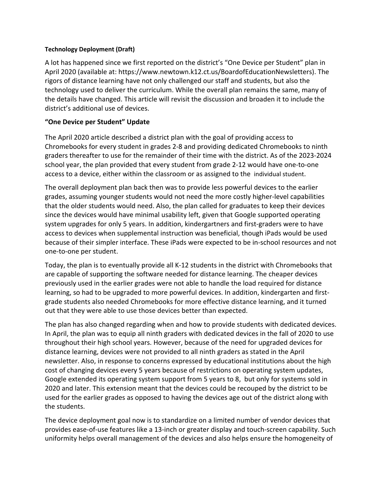#### **Technology Deployment (Draft)**

A lot has happened since we first reported on the district's "One Device per Student" plan in April 2020 (available at: <https://www.newtown.k12.ct.us/BoardofEducationNewsletters>). The rigors of distance learning have not only challenged our staff and students, but also the technology used to deliver the curriculum. While the overall plan remains the same, many of the details have changed. This article will revisit the discussion and broaden it to include the district's additional use of devices.

# **"One Device per Student" Update**

The April 2020 article described a district plan with the goal of providing access to Chromebooks for every student in grades 2-8 and providing dedicated Chromebooks to ninth graders thereafter to use for the remainder of their time with the district. As of the 2023-2024 school year, the plan provided that every student from grade 2-12 would have one-to-one

access to a device, either within the classroom or as assigned to the individual student. The overall deployment plan back then was to provide less powerful devices to the earlier grades, assuming younger students would not need the more costly higher-level capabilities that the older students would need. Also, the plan called for graduates to keep their devices since the devices would have minimal usability left, given that Google supported operating system upgrades for only 5 years. In addition, kindergartners and first-graders were to have access to devices when supplemental instruction was beneficial, though iPads would be used because of their simpler interface. These iPads were expected to be in-school resources and not one-to-one per student.

Today, the plan is to eventually provide all K-12 students in the district with Chromebooks that are capable of supporting the software needed for distance learning. The cheaper devices previously used in the earlier grades were not able to handle the load required for distance learning, so had to be upgraded to more powerful devices. In addition, kindergarten and firstgrade students also needed Chromebooks for more effective distance learning, and it turned out that they were able to use those devices better than expected.

The plan has also changed regarding when and how to provide students with dedicated devices. In April, the plan was to equip all ninth graders with dedicated devices in the fall of 2020 to use throughout their high school years. However, because of the need for upgraded devices for distance learning, devices were not provided to all ninth graders as stated in the April newsletter. Also, in response to concerns expressed by educational institutions about the high cost of changing devices every 5 years because of restrictions on operating system updates, Google extended its operating system support from 5 years to 8, but only for systems sold in 2020 and later. This extension meant that the devices could be recouped by the district to be used for the earlier grades as opposed to having the devices age out of the district along with the students.

The device deployment goal now is to standardize on a limited number of vendor devices that provides ease-of-use features like a 13-inch or greater display and touch-screen capability. Such uniformity helps overall management of the devices and also helps ensure the homogeneity of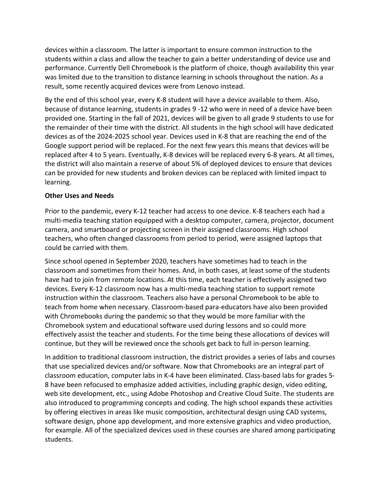devices within a classroom. The latter is important to ensure common instruction to the students within a class and allow the teacher to gain a better understanding of device use and performance. Currently Dell Chromebook is the platform of choice, though availability this year was limited due to the transition to distance learning in schools throughout the nation. As a result, some recently acquired devices were from Lenovo instead.

By the end of this school year, every K-8 student will have a device available to them. Also, because of distance learning, students in grades 9 -12 who were in need of a device have been provided one. Starting in the fall of 2021, devices will be given to all grade 9 students to use for the remainder of their time with the district. All students in the high school will have dedicated devices as of the 2024-2025 school year. Devices used in K-8 that are reaching the end of the Google support period will be replaced. For the next few years this means that devices will be replaced after 4 to 5 years. Eventually, K-8 devices will be replaced every 6-8 years. At all times, the district will also maintain a reserve of about 5% of deployed devices to ensure that devices can be provided for new students and broken devices can be replaced with limited impact to learning.

## **Other Uses and Needs**

Prior to the pandemic, every K-12 teacher had access to one device. K-8 teachers each had a multi-media teaching station equipped with a desktop computer, camera, projector, document camera, and smartboard or projecting screen in their assigned classrooms. High school teachers, who often changed classrooms from period to period, were assigned laptops that could be carried with them.

Since school opened in September 2020, teachers have sometimes had to teach in the classroom and sometimes from their homes. And, in both cases, at least some of the students have had to join from remote locations. At this time, each teacher is effectively assigned two devices. Every K-12 classroom now has a multi-media teaching station to support remote instruction within the classroom. Teachers also have a personal Chromebook to be able to teach from home when necessary. Classroom-based para-educators have also been provided with Chromebooks during the pandemic so that they would be more familiar with the Chromebook system and educational software used during lessons and so could more effectively assist the teacher and students. For the time being these allocations of devices will continue, but they will be reviewed once the schools get back to full in-person learning.

In addition to traditional classroom instruction, the district provides a series of labs and courses that use specialized devices and/or software. Now that Chromebooks are an integral part of classroom education, computer labs in K-4 have been eliminated. Class-based labs for grades 5- 8 have been refocused to emphasize added activities, including graphic design, video editing, web site development, etc., using Adobe Photoshop and Creative Cloud Suite. The students are also introduced to programming concepts and coding. The high school expands these activities by offering electives in areas like music composition, architectural design using CAD systems, software design, phone app development, and more extensive graphics and video production, for example. All of the specialized devices used in these courses are shared among participating students.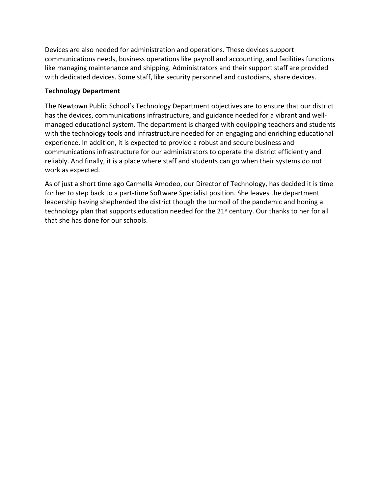Devices are also needed for administration and operations. These devices support communications needs, business operations like payroll and accounting, and facilities functions like managing maintenance and shipping. Administrators and their support staff are provided with dedicated devices. Some staff, like security personnel and custodians, share devices.

## **Technology Department**

The Newtown Public School's Technology Department objectives are to ensure that our district has the devices, communications infrastructure, and guidance needed for a vibrant and wellmanaged educational system. The department is charged with equipping teachers and students with the technology tools and infrastructure needed for an engaging and enriching educational experience. In addition, it is expected to provide a robust and secure business and communications infrastructure for our administrators to operate the district efficiently and reliably. And finally, it is a place where staff and students can go when their systems do not work as expected.

As of just a short time ago Carmella Amodeo, our Director of Technology, has decided it is time for her to step back to a part-time Software Specialist position. She leaves the department leadership having shepherded the district though the turmoil of the pandemic and honing a technology plan that supports education needed for the 21<sup>st</sup> century. Our thanks to her for all that she has done for our schools.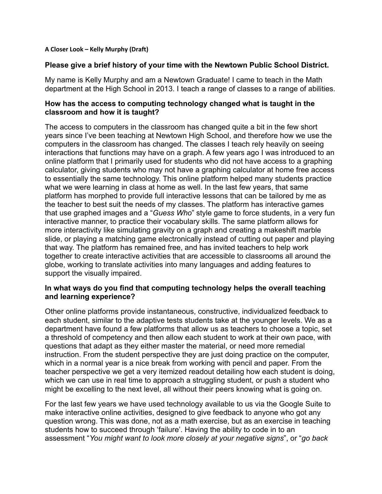#### **A Closer Look – Kelly Murphy (Draft)**

## **Please give a brief history of your time with the Newtown Public School District.**

My name is Kelly Murphy and am a Newtown Graduate! I came to teach in the Math department at the High School in 2013. I teach a range of classes to a range of abilities.

# **How has the access to computing technology changed what is taught in the classroom and how it is taught?**

The access to computers in the classroom has changed quite a bit in the few short years since I've been teaching at Newtown High School, and therefore how we use the computers in the classroom has changed. The classes I teach rely heavily on seeing interactions that functions may have on a graph. A few years ago I was introduced to an online platform that I primarily used for students who did not have access to a graphing calculator, giving students who may not have a graphing calculator at home free access to essentially the same technology. This online platform helped many students practice what we were learning in class at home as well. In the last few years, that same platform has morphed to provide full interactive lessons that can be tailored by me as the teacher to best suit the needs of my classes. The platform has interactive games that use graphed images and a "*Guess Who*" style game to force students, in a very fun interactive manner, to practice their vocabulary skills. The same platform allows for more interactivity like simulating gravity on a graph and creating a makeshift marble slide, or playing a matching game electronically instead of cutting out paper and playing that way. The platform has remained free, and has invited teachers to help work together to create interactive activities that are accessible to classrooms all around the globe, working to translate activities into many languages and adding features to support the visually impaired.

# **In what ways do you find that computing technology helps the overall teaching and learning experience?**

Other online platforms provide instantaneous, constructive, individualized feedback to each student, similar to the adaptive tests students take at the younger levels. We as a department have found a few platforms that allow us as teachers to choose a topic, set a threshold of competency and then allow each student to work at their own pace, with questions that adapt as they either master the material, or need more remedial instruction. From the student perspective they are just doing practice on the computer, which in a normal year is a nice break from working with pencil and paper. From the teacher perspective we get a very itemized readout detailing how each student is doing, which we can use in real time to approach a struggling student, or push a student who might be excelling to the next level, all without their peers knowing what is going on.

For the last few years we have used technology available to us via the Google Suite to make interactive online activities, designed to give feedback to anyone who got any question wrong. This was done, not as a math exercise, but as an exercise in teaching students how to succeed through 'failure'. Having the ability to code in to an assessment "*You might want to look more closely at your negative signs*", or "*go back*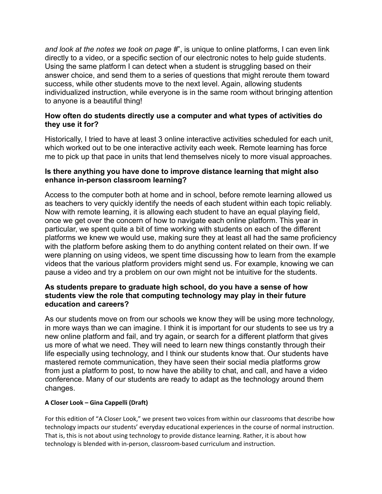*and look at the notes we took on page #*", is unique to online platforms, I can even link directly to a video, or a specific section of our electronic notes to help guide students. Using the same platform I can detect when a student is struggling based on their answer choice, and send them to a series of questions that might reroute them toward success, while other students move to the next level. Again, allowing students individualized instruction, while everyone is in the same room without bringing attention to anyone is a beautiful thing!

# **How often do students directly use a computer and what types of activities do they use it for?**

Historically, I tried to have at least 3 online interactive activities scheduled for each unit, which worked out to be one interactive activity each week. Remote learning has force me to pick up that pace in units that lend themselves nicely to more visual approaches.

# **Is there anything you have done to improve distance learning that might also enhance in-person classroom learning?**

Access to the computer both at home and in school, before remote learning allowed us as teachers to very quickly identify the needs of each student within each topic reliably. Now with remote learning, it is allowing each student to have an equal playing field, once we get over the concern of how to navigate each online platform. This year in particular, we spent quite a bit of time working with students on each of the different platforms we knew we would use, making sure they at least all had the same proficiency with the platform before asking them to do anything content related on their own. If we were planning on using videos, we spent time discussing how to learn from the example videos that the various platform providers might send us. For example, knowing we can pause a video and try a problem on our own might not be intuitive for the students.

# **As students prepare to graduate high school, do you have a sense of how students view the role that computing technology may play in their future education and careers?**

As our students move on from our schools we know they will be using more technology, in more ways than we can imagine. I think it is important for our students to see us try a new online platform and fail, and try again, or search for a different platform that gives us more of what we need. They will need to learn new things constantly through their life especially using technology, and I think our students know that. Our students have mastered remote communication, they have seen their social media platforms grow from just a platform to post, to now have the ability to chat, and call, and have a video conference. Many of our students are ready to adapt as the technology around them changes.

# **A Closer Look – Gina Cappelli (Draft)**

For this edition of "A Closer Look," we present two voices from within our classrooms that describe how technology impacts our students' everyday educational experiences in the course of normal instruction. That is, this is not about using technology to provide distance learning. Rather, it is about how technology is blended with in-person, classroom-based curriculum and instruction.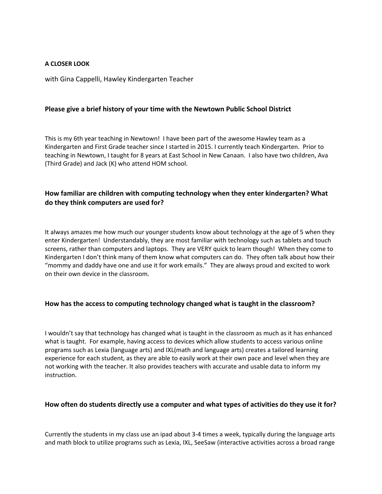#### **A CLOSER LOOK**

with Gina Cappelli, Hawley Kindergarten Teacher

#### **Please give a brief history of your time with the Newtown Public School District**

This is my 6th year teaching in Newtown! I have been part of the awesome Hawley team as a Kindergarten and First Grade teacher since I started in 2015. I currently teach Kindergarten. Prior to teaching in Newtown, I taught for 8 years at East School in New Canaan. I also have two children, Ava (Third Grade) and Jack (K) who attend HOM school.

# **How familiar are children with computing technology when they enter kindergarten? What do they think computers are used for?**

It always amazes me how much our younger students know about technology at the age of 5 when they enter Kindergarten! Understandably, they are most familiar with technology such as tablets and touch screens, rather than computers and laptops. They are VERY quick to learn though! When they come to Kindergarten I don't think many of them know what computers can do. They often talk about how their "mommy and daddy have one and use it for work emails." They are always proud and excited to work on their own device in the classroom.

#### **How has the access to computing technology changed what is taught in the classroom?**

I wouldn't say that technology has changed what is taught in the classroom as much as it has enhanced what is taught. For example, having access to devices which allow students to access various online programs such as Lexia (language arts) and IXL(math and language arts) creates a tailored learning experience for each student, as they are able to easily work at their own pace and level when they are not working with the teacher. It also provides teachers with accurate and usable data to inform my instruction.

#### **How often do students directly use a computer and what types of activities do they use it for?**

Currently the students in my class use an ipad about 3-4 times a week, typically during the language arts and math block to utilize programs such as Lexia, IXL, SeeSaw (interactive activities across a broad range